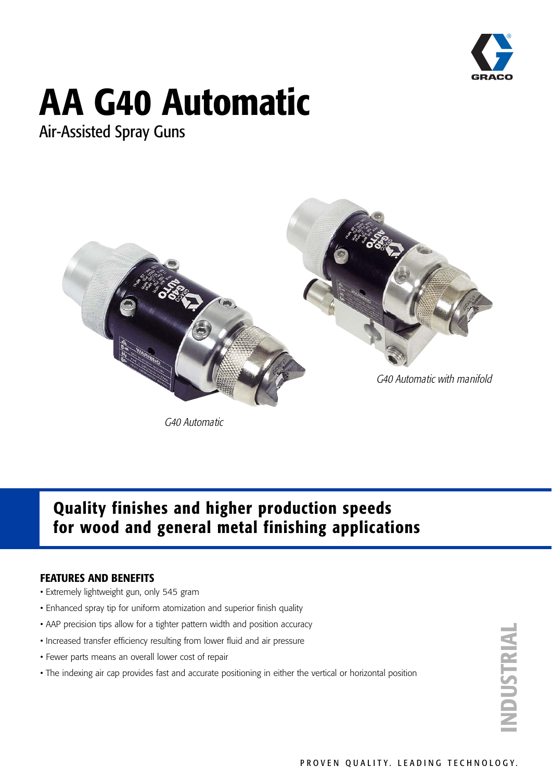

# **AA G40 Automatic**

Air-Assisted Spray Guns



G40 Automatic

### **Quality finishes and higher production speeds for wood and general metal finishing applications**

### **FEATURES AND BENEFITS**

- Extremely lightweight gun, only 545 gram
- Enhanced spray tip for uniform atomization and superior finish quality
- AAP precision tips allow for a tighter pattern width and position accuracy
- Increased transfer efficiency resulting from lower fluid and air pressure
- Fewer parts means an overall lower cost of repair
- The indexing air cap provides fast and accurate positioning in either the vertical or horizontal position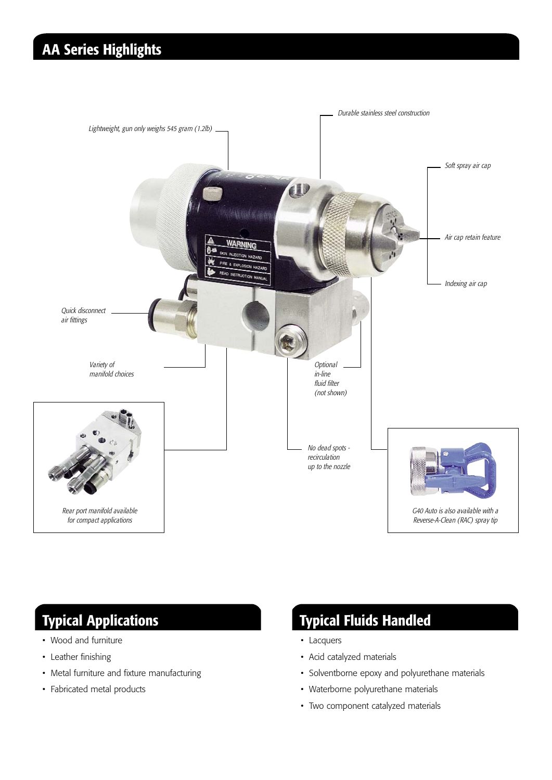### **AA Series Highlights**



- Wood and furniture
- Leather finishing
- Metal furniture and fixture manufacturing
- Fabricated metal products

### **Typical Applications Typical Fluids Handled**

- Lacquers
- Acid catalyzed materials
- Solventborne epoxy and polyurethane materials
- Waterborne polyurethane materials
- Two component catalyzed materials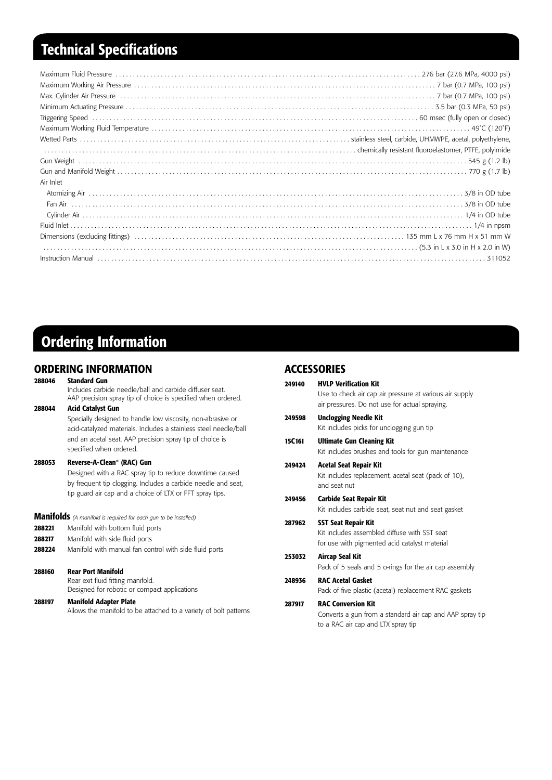### **Technical Specifications**

| Air Inlet                                                    |
|--------------------------------------------------------------|
|                                                              |
|                                                              |
|                                                              |
|                                                              |
|                                                              |
| $(5.3 \text{ in L x } 3.0 \text{ in H x } 2.0 \text{ in W})$ |
|                                                              |

### **Ordering Information**

## **ORDERING INFORMATION**<br>288046 Standard Gun

#### **28 Standard Gun**

Includes carbide needle/ball and carbide diffuser seat. AAP precision spray tip of choice is specified when ordered.

#### **288044 Acid Catalyst Gun**

Specially designed to handle low viscosity, non-abrasive or acid-catalyzed materials. Includes a stainless steel needle/ball and an acetal seat. AAP precision spray tip of choice is specified when ordered.

#### **288053 Reverse-A-Clean® (RAC) Gun**

Designed with a RAC spray tip to reduce downtime caused by frequent tip clogging. Includes a carbide needle and seat, tip guard air cap and a choice of LTX or FFT spray tips.

**Manifolds** *(A manifold is required for each gun to be installed)*

- **288221** Manifold with bottom fluid ports
- **288217** Manifold with side fluid ports
- **288224** Manifold with manual fan control with side fluid ports

#### **288160 Rear Port Manifold**

Rear exit fluid fitting manifold. Designed for robotic or compact applications

#### **288197 Manifold Adapter Plate**

Allows the manifold to be attached to a variety of bolt patterns

#### **ACCESSORIES**

| 249140 | <b>HVLP Verification Kit</b>                                                                                                |
|--------|-----------------------------------------------------------------------------------------------------------------------------|
|        | Use to check air cap air pressure at various air supply<br>air pressures. Do not use for actual spraying.                   |
| 249598 | <b>Unclogging Needle Kit</b>                                                                                                |
|        | Kit includes picks for unclogging gun tip                                                                                   |
| 15C161 | <b>Ultimate Gun Cleaning Kit</b><br>Kit includes brushes and tools for gun maintenance                                      |
| 249424 | <b>Acetal Seat Repair Kit</b><br>Kit includes replacement, acetal seat (pack of 10),<br>and seat nut                        |
| 249456 | <b>Carbide Seat Repair Kit</b><br>Kit includes carbide seat, seat nut and seat gasket                                       |
| 287962 | <b>SST Seat Repair Kit</b><br>Kit includes assembled diffuse with SST seat<br>for use with pigmented acid catalyst material |
| 253032 | <b>Aircap Seal Kit</b><br>Pack of 5 seals and 5 o-rings for the air cap assembly                                            |
| 248936 | <b>RAC Acetal Gasket</b><br>Pack of five plastic (acetal) replacement RAC gaskets                                           |
| 287917 | <b>RAC Conversion Kit</b><br>Converts a gun from a standard air cap and AAP spray tip<br>to a RAC air cap and LTX spray tip |
|        |                                                                                                                             |